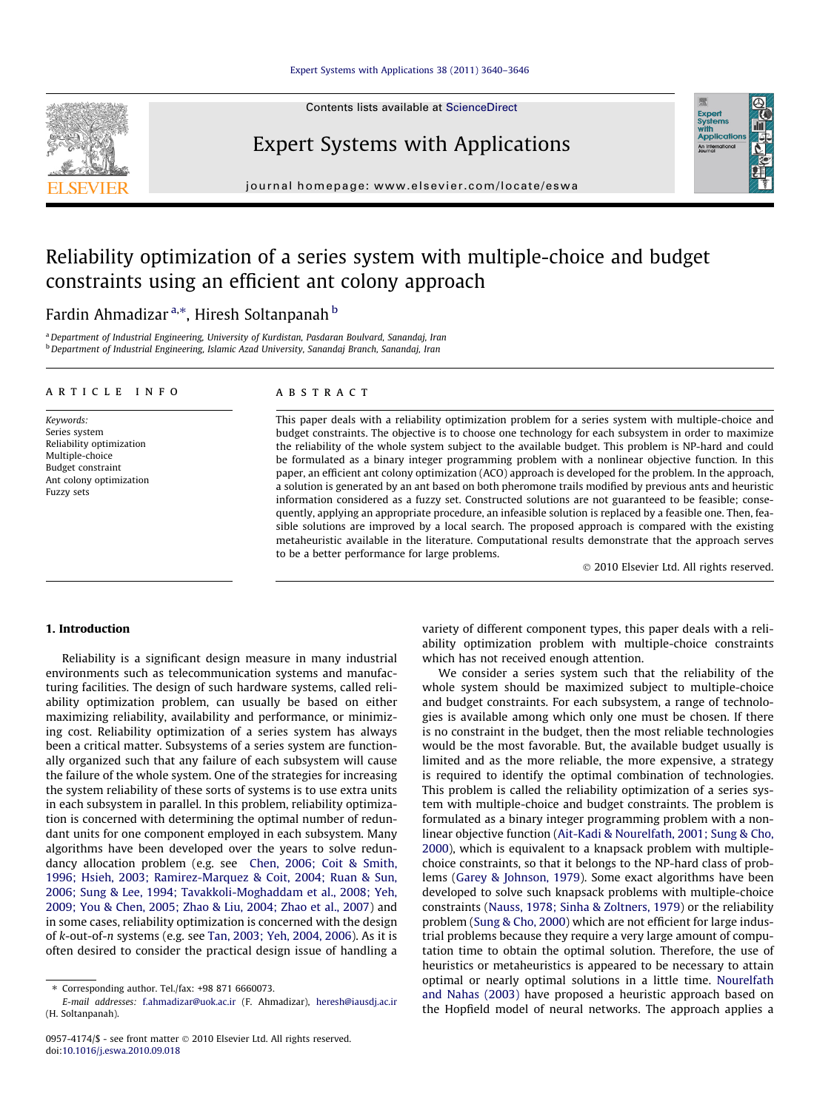Contents lists available at [ScienceDirect](http://www.sciencedirect.com/science/journal/09574174)



Expert Systems with Applications



journal homepage: [www.elsevier.com/locate/eswa](http://www.elsevier.com/locate/eswa)

## Reliability optimization of a series system with multiple-choice and budget constraints using an efficient ant colony approach

### Fardin Ahmadizar <sup>a,</sup>\*, Hiresh Soltanpanah <sup>b</sup>

a Department of Industrial Engineering, University of Kurdistan, Pasdaran Boulvard, Sanandaj, Iran <sup>b</sup> Department of Industrial Engineering, Islamic Azad University, Sanandaj Branch, Sanandaj, Iran

#### article info

Keywords: Series system Reliability optimization Multiple-choice Budget constraint Ant colony optimization Fuzzy sets

#### ABSTRACT

This paper deals with a reliability optimization problem for a series system with multiple-choice and budget constraints. The objective is to choose one technology for each subsystem in order to maximize the reliability of the whole system subject to the available budget. This problem is NP-hard and could be formulated as a binary integer programming problem with a nonlinear objective function. In this paper, an efficient ant colony optimization (ACO) approach is developed for the problem. In the approach, a solution is generated by an ant based on both pheromone trails modified by previous ants and heuristic information considered as a fuzzy set. Constructed solutions are not guaranteed to be feasible; consequently, applying an appropriate procedure, an infeasible solution is replaced by a feasible one. Then, feasible solutions are improved by a local search. The proposed approach is compared with the existing metaheuristic available in the literature. Computational results demonstrate that the approach serves to be a better performance for large problems.

- 2010 Elsevier Ltd. All rights reserved.

#### 1. Introduction

Reliability is a significant design measure in many industrial environments such as telecommunication systems and manufacturing facilities. The design of such hardware systems, called reliability optimization problem, can usually be based on either maximizing reliability, availability and performance, or minimizing cost. Reliability optimization of a series system has always been a critical matter. Subsystems of a series system are functionally organized such that any failure of each subsystem will cause the failure of the whole system. One of the strategies for increasing the system reliability of these sorts of systems is to use extra units in each subsystem in parallel. In this problem, reliability optimization is concerned with determining the optimal number of redundant units for one component employed in each subsystem. Many algorithms have been developed over the years to solve redundancy allocation problem (e.g. see [Chen, 2006; Coit & Smith,](#page--1-0) [1996; Hsieh, 2003; Ramirez-Marquez & Coit, 2004; Ruan & Sun,](#page--1-0) [2006; Sung & Lee, 1994; Tavakkoli-Moghaddam et al., 2008; Yeh,](#page--1-0) [2009; You & Chen, 2005; Zhao & Liu, 2004; Zhao et al., 2007](#page--1-0)) and in some cases, reliability optimization is concerned with the design of k-out-of-n systems (e.g. see [Tan, 2003; Yeh, 2004, 2006](#page--1-0)). As it is often desired to consider the practical design issue of handling a variety of different component types, this paper deals with a reliability optimization problem with multiple-choice constraints which has not received enough attention.

We consider a series system such that the reliability of the whole system should be maximized subject to multiple-choice and budget constraints. For each subsystem, a range of technologies is available among which only one must be chosen. If there is no constraint in the budget, then the most reliable technologies would be the most favorable. But, the available budget usually is limited and as the more reliable, the more expensive, a strategy is required to identify the optimal combination of technologies. This problem is called the reliability optimization of a series system with multiple-choice and budget constraints. The problem is formulated as a binary integer programming problem with a nonlinear objective function ([Ait-Kadi & Nourelfath, 2001; Sung & Cho,](#page--1-0) [2000](#page--1-0)), which is equivalent to a knapsack problem with multiplechoice constraints, so that it belongs to the NP-hard class of problems ([Garey & Johnson, 1979](#page--1-0)). Some exact algorithms have been developed to solve such knapsack problems with multiple-choice constraints [\(Nauss, 1978; Sinha & Zoltners, 1979\)](#page--1-0) or the reliability problem ([Sung & Cho, 2000\)](#page--1-0) which are not efficient for large industrial problems because they require a very large amount of computation time to obtain the optimal solution. Therefore, the use of heuristics or metaheuristics is appeared to be necessary to attain optimal or nearly optimal solutions in a little time. [Nourelfath](#page--1-0) [and Nahas \(2003\)](#page--1-0) have proposed a heuristic approach based on the Hopfield model of neural networks. The approach applies a

<sup>⇑</sup> Corresponding author. Tel./fax: +98 871 6660073.

E-mail addresses: [f.ahmadizar@uok.ac.ir](mailto:f.ahmadizar@uok.ac.ir) (F. Ahmadizar), [heresh@iausdj.ac.ir](mailto:heresh@iausdj.ac.ir) (H. Soltanpanah).

<sup>0957-4174/\$ -</sup> see front matter © 2010 Elsevier Ltd. All rights reserved. doi:[10.1016/j.eswa.2010.09.018](http://dx.doi.org/10.1016/j.eswa.2010.09.018)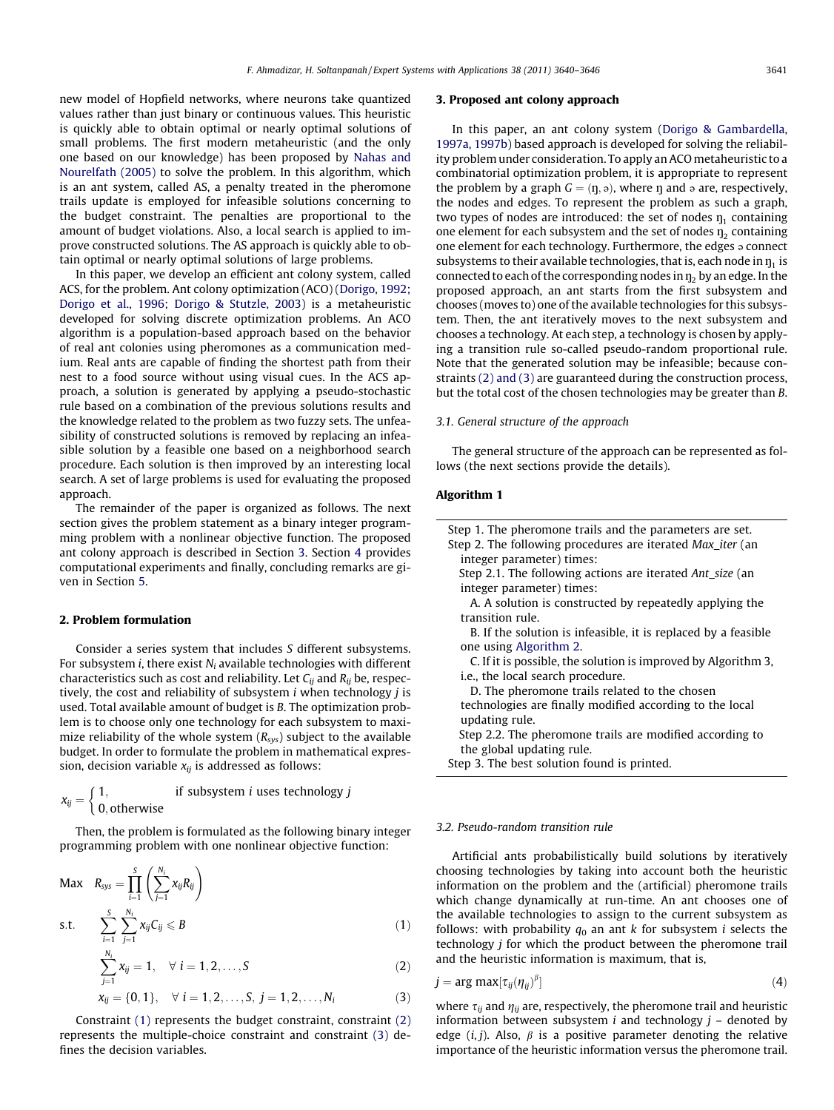new model of Hopfield networks, where neurons take quantized values rather than just binary or continuous values. This heuristic is quickly able to obtain optimal or nearly optimal solutions of small problems. The first modern metaheuristic (and the only one based on our knowledge) has been proposed by [Nahas and](#page--1-0) [Nourelfath \(2005\)](#page--1-0) to solve the problem. In this algorithm, which is an ant system, called AS, a penalty treated in the pheromone trails update is employed for infeasible solutions concerning to the budget constraint. The penalties are proportional to the amount of budget violations. Also, a local search is applied to improve constructed solutions. The AS approach is quickly able to obtain optimal or nearly optimal solutions of large problems.

In this paper, we develop an efficient ant colony system, called ACS, for the problem. Ant colony optimization (ACO) ([Dorigo, 1992;](#page--1-0) [Dorigo et al., 1996; Dorigo & Stutzle, 2003](#page--1-0)) is a metaheuristic developed for solving discrete optimization problems. An ACO algorithm is a population-based approach based on the behavior of real ant colonies using pheromones as a communication medium. Real ants are capable of finding the shortest path from their nest to a food source without using visual cues. In the ACS approach, a solution is generated by applying a pseudo-stochastic rule based on a combination of the previous solutions results and the knowledge related to the problem as two fuzzy sets. The unfeasibility of constructed solutions is removed by replacing an infeasible solution by a feasible one based on a neighborhood search procedure. Each solution is then improved by an interesting local search. A set of large problems is used for evaluating the proposed approach.

The remainder of the paper is organized as follows. The next section gives the problem statement as a binary integer programming problem with a nonlinear objective function. The proposed ant colony approach is described in Section 3. Section [4](#page--1-0) provides computational experiments and finally, concluding remarks are given in Section [5.](#page--1-0)

#### 2. Problem formulation

Consider a series system that includes S different subsystems. For subsystem *i*, there exist  $N_i$  available technologies with different characteristics such as cost and reliability. Let  $C_{ii}$  and  $R_{ii}$  be, respectively, the cost and reliability of subsystem  $i$  when technology  $j$  is used. Total available amount of budget is B. The optimization problem is to choose only one technology for each subsystem to maximize reliability of the whole system  $(R_{sys})$  subject to the available budget. In order to formulate the problem in mathematical expression, decision variable  $x_{ii}$  is addressed as follows:

$$
x_{ij} = \begin{cases} 1, & \text{if subsystem } i \text{ uses technology } j \\ 0, \text{otherwise} \end{cases}
$$

Then, the problem is formulated as the following binary integer programming problem with one nonlinear objective function:

$$
\begin{aligned}\n\text{Max} \quad R_{sys} &= \prod_{i=1}^{S} \left( \sum_{j=1}^{N_i} x_{ij} R_{ij} \right) \\
\text{s.t.} \quad \sum_{i=1}^{S} \sum_{j=1}^{N_i} x_{ij} C_{ij} &\leq B\n\end{aligned} \tag{1}
$$

$$
\sum_{j=1}^{N_i} x_{ij} = 1, \quad \forall \ i = 1, 2, ..., S
$$
 (2)

$$
x_{ij} = \{0, 1\}, \quad \forall \ i = 1, 2, \dots, S, \ j = 1, 2, \dots, N_i \tag{3}
$$

Constraint (1) represents the budget constraint, constraint (2) represents the multiple-choice constraint and constraint (3) defines the decision variables.

#### 3. Proposed ant colony approach

In this paper, an ant colony system [\(Dorigo & Gambardella,](#page--1-0) [1997a, 1997b](#page--1-0)) based approach is developed for solving the reliability problem under consideration. To apply an ACO metaheuristic to a combinatorial optimization problem, it is appropriate to represent the problem by a graph  $G = (n, \infty)$ , where n and  $\infty$  are, respectively, the nodes and edges. To represent the problem as such a graph, two types of nodes are introduced: the set of nodes  $\eta_1$  containing one element for each subsystem and the set of nodes  $\eta_2$  containing one element for each technology. Furthermore, the edges  $\circ$  connect subsystems to their available technologies, that is, each node in  $\eta_1$  is connected to each of the corresponding nodes in  $\eta_2$  by an edge. In the proposed approach, an ant starts from the first subsystem and chooses (moves to) one of the available technologies for this subsystem. Then, the ant iteratively moves to the next subsystem and chooses a technology. At each step, a technology is chosen by applying a transition rule so-called pseudo-random proportional rule. Note that the generated solution may be infeasible; because constraints (2) and (3) are guaranteed during the construction process, but the total cost of the chosen technologies may be greater than B.

#### 3.1. General structure of the approach

The general structure of the approach can be represented as follows (the next sections provide the details).

#### Algorithm 1

| Step 1. The pheromone trails and the parameters are set.       |
|----------------------------------------------------------------|
| Step 2. The following procedures are iterated Max_iter (an     |
| integer parameter) times:                                      |
| Step 2.1. The following actions are iterated Ant size (an      |
| integer parameter) times:                                      |
| A. A solution is constructed by repeatedly applying the        |
| transition rule.                                               |
| B. If the solution is infeasible, it is replaced by a feasible |
| one using Algorithm 2.                                         |
| C. If it is possible, the solution is improved by Algorithm 3, |
| i.e., the local search procedure.                              |
| D. The pheromone trails related to the chosen                  |
| technologies are finally modified according to the local       |
| updating rule.                                                 |
| Step 2.2. The pheromone trails are modified according to       |

the global updating rule.

Step 3. The best solution found is printed.

#### 3.2. Pseudo-random transition rule

Artificial ants probabilistically build solutions by iteratively choosing technologies by taking into account both the heuristic information on the problem and the (artificial) pheromone trails which change dynamically at run-time. An ant chooses one of the available technologies to assign to the current subsystem as follows: with probability  $q_0$  an ant k for subsystem i selects the technology j for which the product between the pheromone trail and the heuristic information is maximum, that is,

$$
j = \arg \max[\tau_{ij}(\eta_{ij})^{\beta}] \tag{4}
$$

where  $\tau_{ij}$  and  $\eta_{ij}$  are, respectively, the pheromone trail and heuristic information between subsystem  $i$  and technology  $j$  – denoted by edge  $(i, j)$ . Also,  $\beta$  is a positive parameter denoting the relative importance of the heuristic information versus the pheromone trail.